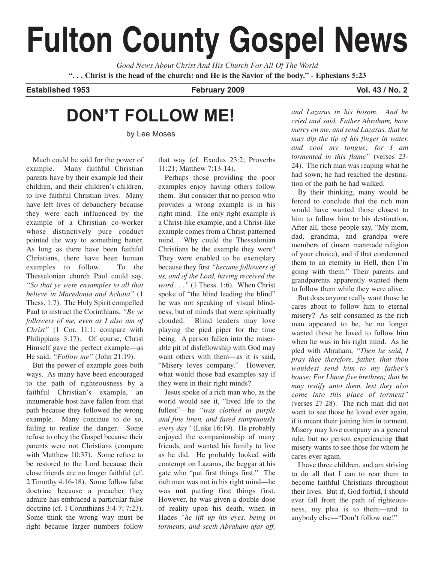# **Fulton County Gospel News**

*Good News About Christ And His Church For All Of The World* **". . . Christ is the head of the church: and He is the Savior of the body." - Ephesians 5:23**

**Established 1953 February 2009 Vol. 43 / No. 2**

## **DON'T FOLLOW ME!**

by Lee Moses

Much could be said for the power of example. Many faithful Christian parents have by their example led their children, and their children's children, to live faithful Christian lives. Many have left lives of debauchery because they were each influenced by the example of a Christian co-worker whose distinctively pure conduct pointed the way to something better. As long as there have been faithful Christians, there have been human examples to follow. To the Thessalonian church Paul could say, *"So that ye were ensamples to all that believe in Macedonia and Achaia"* (1 Thess. 1:7). The Holy Spirit compelled Paul to instruct the Corinthians, *"Be ye followers of me, even as I also am of Christ"* (1 Cor. 11:1; compare with Philippians 3:17). Of course, Christ Himself gave the perfect example—as He said, *"Follow me"* (John 21:19).

But the power of example goes both ways. As many have been encouraged to the path of righteousness by a faithful Christian's example, an innumerable host have fallen from that path because they followed the wrong example. Many continue to do so, failing to realize the danger. Some refuse to obey the Gospel because their parents were not Christians (compare with Matthew 10:37). Some refuse to be restored to the Lord because their close friends are no longer faithful (cf. 2 Timothy 4:16-18). Some follow false doctrine because a preacher they admire has embraced a particular false doctrine (cf. 1 Corinthians 3:4-7; 7:23). Some think the wrong way must be right because larger numbers follow

that way (cf. Exodus 23:2; Proverbs 11:21; Matthew 7:13-14).

Perhaps those providing the poor examples enjoy having others follow them. But consider that no person who provides a wrong example is in his right mind. The only right example is a Christ-like example, and a Christ-like example comes from a Christ-patterned mind. Why could the Thessalonian Christians be the example they were? They were enabled to be exemplary because they first *"became followers of us, and of the Lord, having received the word . . ."* (1 Thess. 1:6). When Christ spoke of "the blind leading the blind" he was not speaking of visual blindness, but of minds that were spiritually clouded. Blind leaders may love playing the pied piper for the time being. A person fallen into the miserable pit of disfellowship with God may want others with them—as it is said, "Misery loves company." However, what would those bad examples say if they were in their right minds?

Jesus spoke of a rich man who, as the world would see it, "lived life to the fullest"—he *"was clothed in purple and fine linen, and fared sumptuously every day"* (Luke 16:19). He probably enjoyed the companionship of many friends, and wanted his family to live as he did. He probably looked with contempt on Lazarus, the beggar at his gate who "put first things first." The rich man was not in his right mind—he was **not** putting first things first. However, he was given a double dose of reality upon his death, when in Hades *"he lift up his eyes, being in torments, and seeth Abraham afar off,*

*and Lazarus in his bosom. And he cried and said, Father Abraham, have mercy on me, and send Lazarus, that he may dip the tip of his finger in water, and cool my tongue; for I am tormented in this flame"* (verses 23- 24). The rich man was reaping what he had sown; he had reached the destination of the path he had walked.

By their thinking, many would be forced to conclude that the rich man would have wanted those closest to him to follow him to his destination. After all, those people say, "My mom, dad, grandma, and grandpa were members of (insert manmade religion of your choice), and if that condemned them to an eternity in Hell, then I'm going with them." Their parents and grandparents apparently wanted them to follow them while they were alive.

But does anyone really want those he cares about to follow him to eternal misery? As self-consumed as the rich man appeared to be, he no longer wanted those he loved to follow him when he was in his right mind. As he pled with Abraham, *"Then he said, I pray thee therefore, father, that thou wouldest send him to my father's house: For I have five brethren; that he may testify unto them, lest they also come into this place of torment"* (verses 27-28). The rich man did not want to see those he loved ever again, if it meant their joining him in torment. Misery may love company as a general rule, but no person experiencing **that** misery wants to see those for whom he cares ever again.

I have three children, and am striving to do all that I can to rear them to become faithful Christians throughout their lives. But if, God forbid, I should ever fall from the path of righteousness, my plea is to them—and to anybody else—"Don't follow me!"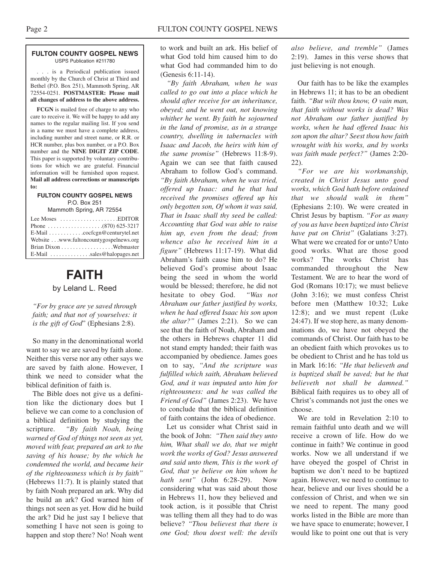#### **FULTON COUNTY GOSPEL NEWS** USPS Publication #211780

. . . is a Periodical publication issued monthly by the Church of Christ at Third and Bethel (P.O. Box 251), Mammoth Spring, AR 72554-0251. **POSTMASTER: Please mail all changes of address to the above address.**

**FCGN** is mailed free of charge to any who care to receive it. We will be happy to add any names to the regular mailing list. If you send in a name we must have a complete address, including number and street name, or R.R. or HCR number, plus box number, or a P.O. Box number and the **NINE DIGIT ZIP CODE**. This paper is supported by voluntary contributions for which we are grateful. Financial information will be furnished upon request. **Mail all address corrections or manuscripts to:**

**FULTON COUNTY GOSPEL NEWS** P.O. Box 251 Mammoth Spring, AR 72554

| $E$ -Mail $\ldots \ldots \ldots$ . cocfcgn@centurytel.net |  |
|-----------------------------------------------------------|--|
| Website www.fultoncountygospelnews.org                    |  |
| Brian Dixon Webmaster                                     |  |
| E-Mail $\ldots$ sales@halopages.net                       |  |

### **FAITH** by Leland L. Reed

*"For by grace are ye saved through faith; and that not of yourselves: it is the gift of God*" (Ephesians 2:8).

So many in the denominational world want to say we are saved by faith alone. Neither this verse nor any other says we are saved by faith alone. However, I think we need to consider what the biblical definition of faith is.

The Bible does not give us a definition like the dictionary does but I believe we can come to a conclusion of a biblical definition by studying the scripture. *"By faith Noah, being warned of God of things not seen as yet, moved with fear, prepared an ark to the saving of his house; by the which he condemned the world, and became heir of the righteousness which is by faith"* (Hebrews 11:7). It is plainly stated that by faith Noah prepared an ark. Why did he build an ark? God warned him of things not seen as yet. How did he build the ark? Did he just say I believe that something I have not seen is going to happen and stop there? No! Noah went

to work and built an ark. His belief of what God told him caused him to do what God had commanded him to do (Genesis 6:11-14).

*"By faith Abraham, when he was called to go out into a place which he should after receive for an inheritance, obeyed; and he went out, not knowing whither he went. By faith he sojourned in the land of promise, as in a strange country, dwelling in tabernacles with Isaac and Jacob, the heirs with him of the same promise"* (Hebrews 11:8-9). Again we can see that faith caused Abraham to follow God's command. *"By faith Abraham, when he was tried, offered up Isaac: and he that had received the promises offered up his only begotten son, Of whom it was said, That in Isaac shall thy seed be called: Accounting that God was able to raise him up, even from the dead; from whence also he received him in a figure"* (Hebrews 11:17-19). What did Abraham's faith cause him to do? He believed God's promise about Isaac being the seed in whom the world would be blessed; therefore, he did not hesitate to obey God. *"Was not Abraham our father justified by works, when he had offered Isaac his son upon the altar?"* (James 2:21). So we can see that the faith of Noah, Abraham and the others in Hebrews chapter 11 did not stand empty handed; their faith was accompanied by obedience. James goes on to say, *"And the scripture was fulfilled which saith, Abraham believed God, and it was imputed unto him for righteousness: and he was called the Friend of God"* (James 2:23). We have to conclude that the biblical definition of faith contains the idea of obedience.

Let us consider what Christ said in the book of John: *"Then said they unto him, What shall we do, that we might work the works of God? Jesus answered and said unto them, This is the work of God, that ye believe on him whom he hath sent"* (John 6:28-29). Now considering what was said about those in Hebrews 11, how they believed and took action, is it possible that Christ was telling them all they had to do was believe? *"Thou believest that there is one God; thou doest well: the devils*

*also believe, and tremble"* (James 2:19). James in this verse shows that just believing is not enough.

Our faith has to be like the examples in Hebrews 11; it has to be an obedient faith. *"But wilt thou know, O vain man, that faith without works is dead? Was not Abraham our father justified by works, when he had offered Isaac his son upon the altar? Seest thou how faith wrought with his works, and by works was faith made perfect?"* (James 2:20- 22).

*"For we are his workmanship, created in Christ Jesus unto good works, which God hath before ordained that we should walk in them"* (Ephesians 2:10). We were created in Christ Jesus by baptism. *"For as many of you as have been baptized into Christ have put on Christ"* (Galatians 3:27)*.* What were we created for or unto? Unto good works. What are those good works? The works Christ has commanded throughout the New Testament. We are to hear the word of God (Romans 10:17); we must believe (John 3:16); we must confess Christ before men (Matthew 10:32; Luke 12:8); and we must repent (Luke 24:47). If we stop here, as many denominations do, we have not obeyed the commands of Christ. Our faith has to be an obedient faith which provokes us to be obedient to Christ and he has told us in Mark 16:16: *"He that believeth and is baptized shall be saved; but he that believeth not shall be damned."* Biblical faith requires us to obey all of Christ's commands not just the ones we choose.

We are told in Revelation 2:10 to remain faithful unto death and we will receive a crown of life. How do we continue in faith? We continue in good works. Now we all understand if we have obeyed the gospel of Christ in baptism we don't need to be baptized again. However, we need to continue to hear, believe and our lives should be a confession of Christ, and when we sin we need to repent. The many good works listed in the Bible are more than we have space to enumerate; however, I would like to point one out that is very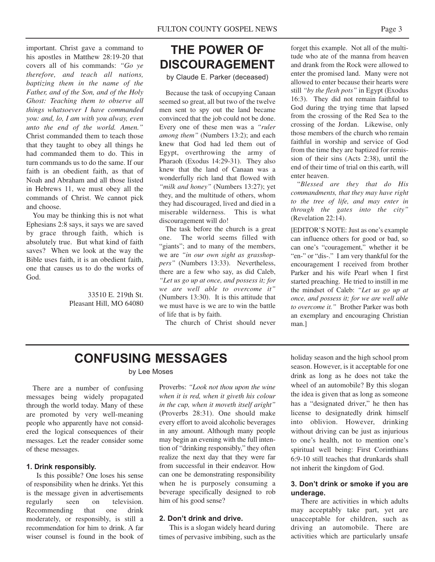important. Christ gave a command to his apostles in Matthew 28:19-20 that covers all of his commands: *"Go ye therefore, and teach all nations, baptizing them in the name of the Father, and of the Son, and of the Holy Ghost: Teaching them to observe all things whatsoever I have commanded you: and, lo, I am with you alway, even unto the end of the world. Amen."* Christ commanded them to teach those that they taught to obey all things he had commanded them to do. This in turn commands us to do the same. If our faith is an obedient faith, as that of Noah and Abraham and all those listed in Hebrews 11, we must obey all the commands of Christ. We cannot pick and choose.

You may be thinking this is not what Ephesians 2:8 says, it says we are saved by grace through faith, which is absolutely true. But what kind of faith saves? When we look at the way the Bible uses faith, it is an obedient faith, one that causes us to do the works of God.

> 33510 E. 219th St. Pleasant Hill, MO 64080

## **THE POWER OF DISCOURAGEMENT**

by Claude E. Parker (deceased)

Because the task of occupying Canaan seemed so great, all but two of the twelve men sent to spy out the land became convinced that the job could not be done. Every one of these men was a *"ruler among them"* (Numbers 13:2); and each knew that God had led them out of Egypt, overthrowing the army of Pharaoh (Exodus 14:29-31). They also knew that the land of Canaan was a wonderfully rich land that flowed with *"milk and honey"* (Numbers 13:27); yet they, and the multitude of others, whom they had discouraged, lived and died in a miserable wilderness. This is what discouragement will do!

The task before the church is a great one. The world seems filled with "giants"; and to many of the members, we are *"in our own sight as grasshoppers"* (Numbers 13:33). Nevertheless, there are a few who say, as did Caleb, *"Let us go up at once, and possess it; for we are well able to overcome it"* (Numbers 13:30). It is this attitude that we must have is we are to win the battle of life that is by faith.

The church of Christ should never

forget this example. Not all of the multitude who ate of the manna from heaven and drank from the Rock were allowed to enter the promised land. Many were not allowed to enter because their hearts were still *"by the flesh pots"* in Egypt (Exodus 16:3). They did not remain faithful to God during the trying time that lapsed from the crossing of the Red Sea to the crossing of the Jordan. Likewise, only those members of the church who remain faithful in worship and service of God from the time they are baptized for remission of their sins (Acts 2:38), until the end of their time of trial on this earth, will enter heaven.

"*Blessed are they that do His commandments, that they may have right to the tree of life, and may enter in through the gates into the city"* (Revelation 22:14).

[EDITOR'S NOTE: Just as one's example can influence others for good or bad, so can one's "couragement," whether it be "en-" or "dis-." I am very thankful for the encouragement I received from brother Parker and his wife Pearl when I first started preaching. He tried to instill in me the mindset of Caleb: *"Let us go up at once, and possess it; for we are well able to overcome it."* Brother Parker was both an exemplary and encouraging Christian man.]

## **CONFUSING MESSAGES**

by Lee Moses

There are a number of confusing messages being widely propagated through the world today. Many of these are promoted by very well-meaning people who apparently have not considered the logical consequences of their messages. Let the reader consider some of these messages.

#### **1. Drink responsibly.**

Is this possible? One loses his sense of responsibility when he drinks. Yet this is the message given in advertisements regularly seen on television. Recommending that one drink moderately, or responsibly, is still a recommendation for him to drink. A far wiser counsel is found in the book of

Proverbs: *"Look not thou upon the wine when it is red, when it giveth his colour in the cup, when it moveth itself aright"* (Proverbs 28:31). One should make every effort to avoid alcoholic beverages in any amount. Although many people may begin an evening with the full intention of "drinking responsibly," they often realize the next day that they were far from successful in their endeavor. How can one be demonstrating responsibility when he is purposely consuming a beverage specifically designed to rob him of his good sense?

#### **2. Don't drink and drive.**

This is a slogan widely heard during times of pervasive imbibing, such as the

holiday season and the high school prom season. However, is it acceptable for one drink as long as he does not take the wheel of an automobile? By this slogan the idea is given that as long as someone has a "designated driver," he then has license to designatedly drink himself into oblivion. However, drinking without driving can be just as injurious to one's health, not to mention one's spiritual well being: First Corinthians 6:9-10 still teaches that drunkards shall not inherit the kingdom of God.

#### **3. Don't drink or smoke if you are underage.**

There are activities in which adults may acceptably take part, yet are unacceptable for children, such as driving an automobile. There are activities which are particularly unsafe